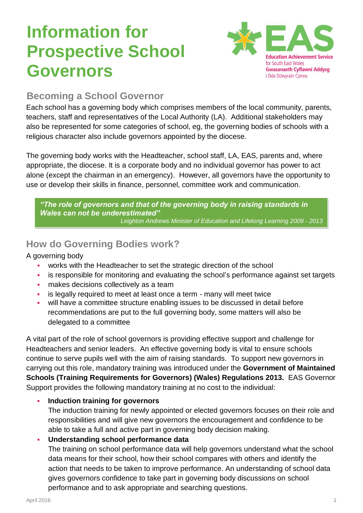# **Information for Prospective School Governors**



## **Becoming a School Governor**

Each school has a governing body which comprises members of the local community, parents, teachers, staff and representatives of the Local Authority (LA). Additional stakeholders may also be represented for some categories of school, eg, the governing bodies of schools with a religious character also include governors appointed by the diocese.

The governing body works with the Headteacher, school staff, LA, EAS, parents and, where appropriate, the diocese. It is a corporate body and no individual governor has power to act alone (except the chairman in an emergency). However, all governors have the opportunity to use or develop their skills in finance, personnel, committee work and communication.

*"The role of governors and that of the governing body in raising standards in Wales can not be underestimated" Leighton Andrews Minister of Education and Lifelong Learning 2009 - 2013*

## **How do Governing Bodies work?**

A governing body

- works with the Headteacher to set the strategic direction of the school
- is responsible for monitoring and evaluating the school's performance against set targets
- **·** makes decisions collectively as a team
- is legally required to meet at least once a term many will meet twice
- will have a committee structure enabling issues to be discussed in detail before recommendations are put to the full governing body, some matters will also be delegated to a committee

A vital part of the role of school governors is providing effective support and challenge for Headteachers and senior leaders. An effective governing body is vital to ensure schools continue to serve pupils well with the aim of raising standards. To support new governors in carrying out this role, mandatory training was introduced under the **Government of Maintained Schools (Training Requirements for Governors) (Wales) Regulations 2013.** EAS Governor Support provides the following mandatory training at no cost to the individual:

## ▪ **Induction training for governors**

The induction training for newly appointed or elected governors focuses on their role and responsibilities and will give new governors the encouragement and confidence to be able to take a full and active part in governing body decision making.

## **Understanding school performance data**

The training on school performance data will help governors understand what the school data means for their school, how their school compares with others and identify the action that needs to be taken to improve performance. An understanding of school data gives governors confidence to take part in governing body discussions on school performance and to ask appropriate and searching questions.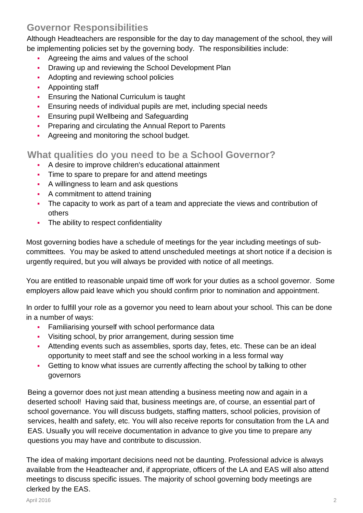## **Governor Responsibilities**

Although Headteachers are responsible for the day to day management of the school, they will be implementing policies set by the governing body. The responsibilities include:

- Agreeing the aims and values of the school
- Drawing up and reviewing the School Development Plan
- Adopting and reviewing school policies
- **•** Appointing staff
- **Ensuring the National Curriculum is taught**
- **Ensuring needs of individual pupils are met, including special needs**
- **Ensuring pupil Wellbeing and Safeguarding**
- **Preparing and circulating the Annual Report to Parents**
- **Agreeing and monitoring the school budget.**

## **What qualities do you need to be a School Governor?**

- A desire to improve children's educational attainment
- **•** Time to spare to prepare for and attend meetings
- A willingness to learn and ask questions
- **•** A commitment to attend training
- The capacity to work as part of a team and appreciate the views and contribution of others
- **•** The ability to respect confidentiality

Most governing bodies have a schedule of meetings for the year including meetings of subcommittees. You may be asked to attend unscheduled meetings at short notice if a decision is urgently required, but you will always be provided with notice of all meetings.

You are entitled to reasonable unpaid time off work for your duties as a school governor. Some employers allow paid leave which you should confirm prior to nomination and appointment.

In order to fulfill your role as a governor you need to learn about your school. This can be done in a number of ways:

- **•** Familiarising yourself with school performance data
- Visiting school, by prior arrangement, during session time
- **EXECT** Attending events such as assemblies, sports day, fetes, etc. These can be an ideal opportunity to meet staff and see the school working in a less formal way
- **Getting to know what issues are currently affecting the school by talking to other** governors

Being a governor does not just mean attending a business meeting now and again in a deserted school! Having said that, business meetings are, of course, an essential part of school governance. You will discuss budgets, staffing matters, school policies, provision of services, health and safety, etc. You will also receive reports for consultation from the LA and EAS. Usually you will receive documentation in advance to give you time to prepare any questions you may have and contribute to discussion.

The idea of making important decisions need not be daunting. Professional advice is always available from the Headteacher and, if appropriate, officers of the LA and EAS will also attend meetings to discuss specific issues. The majority of school governing body meetings are clerked by the EAS.